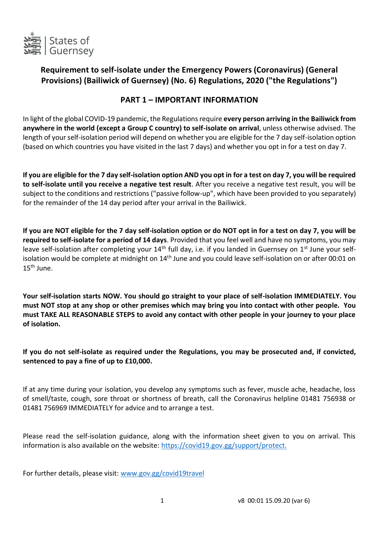

# **Requirement to self-isolate under the Emergency Powers (Coronavirus) (General Provisions) (Bailiwick of Guernsey) (No. 6) Regulations, 2020 ("the Regulations")**

## **PART 1 – IMPORTANT INFORMATION**

In light of the global COVID-19 pandemic, the Regulations require **every person arriving in the Bailiwick from anywhere in the world (except a Group C country) to self-isolate on arrival**, unless otherwise advised. The length of your self-isolation period will depend on whether you are eligible for the 7 day self-isolation option (based on which countries you have visited in the last 7 days) and whether you opt in for a test on day 7.

**If you are eligible for the 7 day self-isolation option AND you opt in for a test on day 7, you will be required to self-isolate until you receive a negative test result**. After you receive a negative test result, you will be subject to the conditions and restrictions ("passive follow-up", which have been provided to you separately) for the remainder of the 14 day period after your arrival in the Bailiwick.

**If you are NOT eligible for the 7 day self-isolation option or do NOT opt in for a test on day 7, you will be required to self-isolate for a period of 14 days**. Provided that you feel well and have no symptoms, you may leave self-isolation after completing your 14<sup>th</sup> full day, i.e. if you landed in Guernsey on 1<sup>st</sup> June your selfisolation would be complete at midnight on 14<sup>th</sup> June and you could leave self-isolation on or after 00:01 on  $15<sup>th</sup>$  June.

**Your self-isolation starts NOW. You should go straight to your place of self-isolation IMMEDIATELY. You must NOT stop at any shop or other premises which may bring you into contact with other people. You must TAKE ALL REASONABLE STEPS to avoid any contact with other people in your journey to your place of isolation.** 

**If you do not self-isolate as required under the Regulations, you may be prosecuted and, if convicted, sentenced to pay a fine of up to £10,000.**

If at any time during your isolation, you develop any symptoms such as fever, muscle ache, headache, loss of smell/taste, cough, sore throat or shortness of breath, call the Coronavirus helpline 01481 756938 or 01481 756969 IMMEDIATELY for advice and to arrange a test.

Please read the self-isolation guidance, along with the information sheet given to you on arrival. This information is also available on the website: [https://covid19.gov.gg/support/protect.](https://covid19.gov.gg/support/protect)

For further details, please visit: [www.gov.gg/covid19travel](http://www.gov.gg/covid19travel)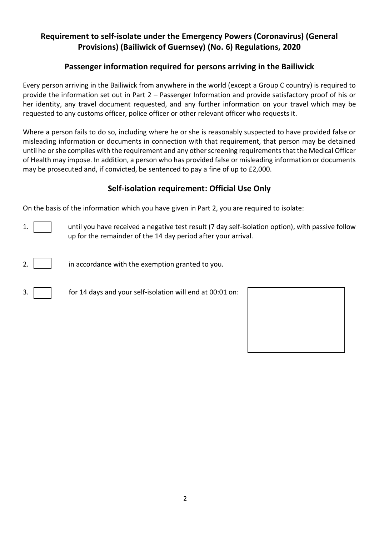# **Requirement to self-isolate under the Emergency Powers (Coronavirus) (General Provisions) (Bailiwick of Guernsey) (No. 6) Regulations, 2020**

# **Passenger information required for persons arriving in the Bailiwick**

Every person arriving in the Bailiwick from anywhere in the world (except a Group C country) is required to provide the information set out in Part 2 – Passenger Information and provide satisfactory proof of his or her identity, any travel document requested, and any further information on your travel which may be requested to any customs officer, police officer or other relevant officer who requests it.

Where a person fails to do so, including where he or she is reasonably suspected to have provided false or misleading information or documents in connection with that requirement, that person may be detained until he or she complies with the requirement and any other screening requirements that the Medical Officer of Health may impose. In addition, a person who has provided false or misleading information or documents may be prosecuted and, if convicted, be sentenced to pay a fine of up to £2,000.

# **Self-isolation requirement: Official Use Only**

On the basis of the information which you have given in Part 2, you are required to isolate:

- 1.  $\vert$   $\vert$  until you have received a negative test result (7 day self-isolation option), with passive follow up for the remainder of the 14 day period after your arrival.
- 2.  $\vert$  in accordance with the exemption granted to you.
- 

3. for 14 days and your self-isolation will end at 00:01 on:

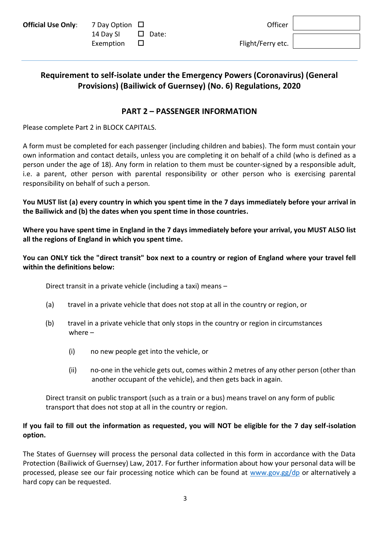| <b>Official Use Only:</b> |  |  |  |
|---------------------------|--|--|--|
|---------------------------|--|--|--|

| <b>Official Use Only:</b> 7 Day Option $\Box$ |                        | Officer           |
|-----------------------------------------------|------------------------|-------------------|
|                                               | 14 Day SI $\Box$ Date: |                   |
|                                               | Exemption $\Box$       | Flight/Ferry etc. |

# **Requirement to self-isolate under the Emergency Powers (Coronavirus) (General Provisions) (Bailiwick of Guernsey) (No. 6) Regulations, 2020**

# **PART 2 – PASSENGER INFORMATION**

Please complete Part 2 in BLOCK CAPITALS.

A form must be completed for each passenger (including children and babies). The form must contain your own information and contact details, unless you are completing it on behalf of a child (who is defined as a person under the age of 18). Any form in relation to them must be counter-signed by a responsible adult, i.e. a parent, other person with parental responsibility or other person who is exercising parental responsibility on behalf of such a person.

**You MUST list (a) every country in which you spent time in the 7 days immediately before your arrival in the Bailiwick and (b) the dates when you spent time in those countries.**

**Where you have spent time in England in the 7 days immediately before your arrival, you MUST ALSO list all the regions of England in which you spent time.**

**You can ONLY tick the "direct transit" box next to a country or region of England where your travel fell within the definitions below:** 

Direct transit in a private vehicle (including a taxi) means –

- (a) travel in a private vehicle that does not stop at all in the country or region, or
- (b) travel in a private vehicle that only stops in the country or region in circumstances where –
	- (i) no new people get into the vehicle, or
	- (ii) no-one in the vehicle gets out, comes within 2 metres of any other person (other than another occupant of the vehicle), and then gets back in again.

Direct transit on public transport (such as a train or a bus) means travel on any form of public transport that does not stop at all in the country or region.

## **If you fail to fill out the information as requested, you will NOT be eligible for the 7 day self-isolation option.**

The States of Guernsey will process the personal data collected in this form in accordance with the Data Protection (Bailiwick of Guernsey) Law, 2017. For further information about how your personal data will be processed, please see our fair processing notice which can be found at [www.gov.gg/dp](http://www.gov.gg/dp) or alternatively a hard copy can be requested.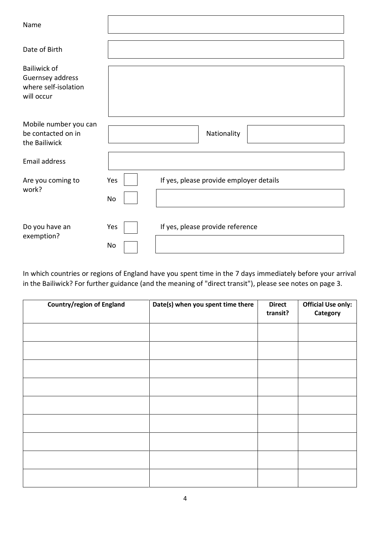| Name                                                                          |                                                      |
|-------------------------------------------------------------------------------|------------------------------------------------------|
| Date of Birth                                                                 |                                                      |
| <b>Bailiwick of</b><br>Guernsey address<br>where self-isolation<br>will occur |                                                      |
| Mobile number you can<br>be contacted on in<br>the Bailiwick                  | Nationality                                          |
| <b>Email address</b>                                                          |                                                      |
| Are you coming to<br>work?                                                    | If yes, please provide employer details<br>Yes<br>No |
| Do you have an<br>exemption?                                                  | If yes, please provide reference<br>Yes<br>No        |

In which countries or regions of England have you spent time in the 7 days immediately before your arrival in the Bailiwick? For further guidance (and the meaning of "direct transit"), please see notes on page 3.

| <b>Country/region of England</b> | Date(s) when you spent time there | <b>Direct</b><br>transit? | <b>Official Use only:</b><br>Category |
|----------------------------------|-----------------------------------|---------------------------|---------------------------------------|
|                                  |                                   |                           |                                       |
|                                  |                                   |                           |                                       |
|                                  |                                   |                           |                                       |
|                                  |                                   |                           |                                       |
|                                  |                                   |                           |                                       |
|                                  |                                   |                           |                                       |
|                                  |                                   |                           |                                       |
|                                  |                                   |                           |                                       |
|                                  |                                   |                           |                                       |